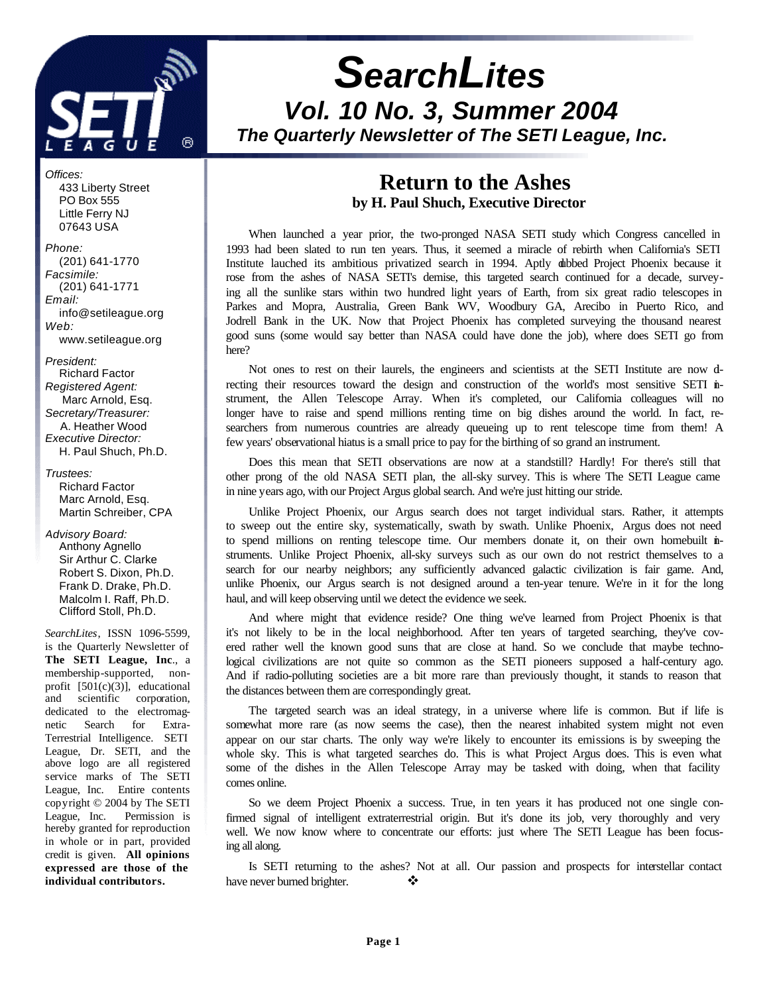

# *SearchLites Vol. 10 No. 3, Summer 2004 The Quarterly Newsletter of The SETI League, Inc.*

*Offices:* 433 Liberty Street PO Box 555 Little Ferry NJ 07643 USA

*Phone:* (201) 641-1770 *Facsimile:* (201) 641-1771 *Email:* info@setileague.org *Web:* www.setileague.org

*President:* Richard Factor *Registered Agent:*  Marc Arnold, Esq. *Secretary/Treasurer:* A. Heather Wood *Executive Director:* H. Paul Shuch, Ph.D.

*Trustees:* Richard Factor Marc Arnold, Esq. Martin Schreiber, CPA

*Advisory Board:* Anthony Agnello Sir Arthur C. Clarke Robert S. Dixon, Ph.D. Frank D. Drake, Ph.D. Malcolm I. Raff, Ph.D. Clifford Stoll, Ph.D.

*SearchLites*, ISSN 1096-5599, is the Quarterly Newsletter of **The SETI League, Inc**., a membership-supported, nonprofit [501(c)(3)], educational and scientific corporation, dedicated to the electromagnetic Search for Extra-Terrestrial Intelligence. SETI League, Dr. SETI, and the above logo are all registered service marks of The SETI League, Inc. Entire contents copyright © 2004 by The SETI League, Inc. Permission is hereby granted for reproduction in whole or in part, provided credit is given. **All opinions expressed are those of the individual contributors.**

## **Return to the Ashes by H. Paul Shuch, Executive Director**

When launched a year prior, the two-pronged NASA SETI study which Congress cancelled in 1993 had been slated to run ten years. Thus, it seemed a miracle of rebirth when California's SETI Institute lauched its ambitious privatized search in 1994. Aptly dubbed Project Phoenix because it rose from the ashes of NASA SETI's demise, this targeted search continued for a decade, surveying all the sunlike stars within two hundred light years of Earth, from six great radio telescopes in Parkes and Mopra, Australia, Green Bank WV, Woodbury GA, Arecibo in Puerto Rico, and Jodrell Bank in the UK. Now that Project Phoenix has completed surveying the thousand nearest good suns (some would say better than NASA could have done the job), where does SETI go from here?

Not ones to rest on their laurels, the engineers and scientists at the SETI Institute are now directing their resources toward the design and construction of the world's most sensitive SETI instrument, the Allen Telescope Array. When it's completed, our California colleagues will no longer have to raise and spend millions renting time on big dishes around the world. In fact, researchers from numerous countries are already queueing up to rent telescope time from them! A few years' observational hiatus is a small price to pay for the birthing of so grand an instrument.

Does this mean that SETI observations are now at a standstill? Hardly! For there's still that other prong of the old NASA SETI plan, the all-sky survey. This is where The SETI League came in nine years ago, with our Project Argus global search. And we're just hitting our stride.

Unlike Project Phoenix, our Argus search does not target individual stars. Rather, it attempts to sweep out the entire sky, systematically, swath by swath. Unlike Phoenix, Argus does not need to spend millions on renting telescope time. Our members donate it, on their own homebuilt instruments. Unlike Project Phoenix, all-sky surveys such as our own do not restrict themselves to a search for our nearby neighbors; any sufficiently advanced galactic civilization is fair game. And, unlike Phoenix, our Argus search is not designed around a ten-year tenure. We're in it for the long haul, and will keep observing until we detect the evidence we seek.

And where might that evidence reside? One thing we've learned from Project Phoenix is that it's not likely to be in the local neighborhood. After ten years of targeted searching, they've covered rather well the known good suns that are close at hand. So we conclude that maybe technological civilizations are not quite so common as the SETI pioneers supposed a half-century ago. And if radio-polluting societies are a bit more rare than previously thought, it stands to reason that the distances between them are correspondingly great.

The targeted search was an ideal strategy, in a universe where life is common. But if life is somewhat more rare (as now seems the case), then the nearest inhabited system might not even appear on our star charts. The only way we're likely to encounter its emissions is by sweeping the whole sky. This is what targeted searches do. This is what Project Argus does. This is even what some of the dishes in the Allen Telescope Array may be tasked with doing, when that facility comes online.

So we deem Project Phoenix a success. True, in ten years it has produced not one single confirmed signal of intelligent extraterrestrial origin. But it's done its job, very thoroughly and very well. We now know where to concentrate our efforts: just where The SETI League has been focusing all along.

Is SETI returning to the ashes? Not at all. Our passion and prospects for interstellar contact have never burned brighter.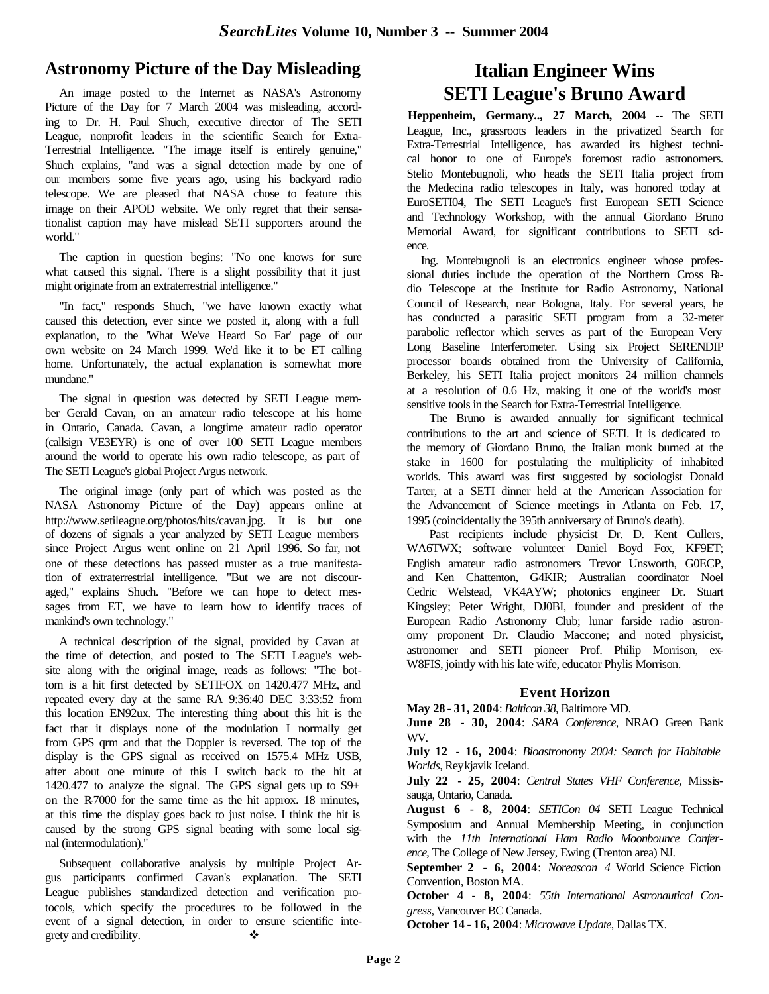## **Astronomy Picture of the Day Misleading**

 An image posted to the Internet as NASA's Astronomy Picture of the Day for 7 March 2004 was misleading, according to Dr. H. Paul Shuch, executive director of The SETI League, nonprofit leaders in the scientific Search for Extra-Terrestrial Intelligence. "The image itself is entirely genuine," Shuch explains, "and was a signal detection made by one of our members some five years ago, using his backyard radio telescope. We are pleased that NASA chose to feature this image on their APOD website. We only regret that their sensationalist caption may have mislead SETI supporters around the world."

 The caption in question begins: "No one knows for sure what caused this signal. There is a slight possibility that it just might originate from an extraterrestrial intelligence."

 "In fact," responds Shuch, "we have known exactly what caused this detection, ever since we posted it, along with a full explanation, to the 'What We've Heard So Far' page of our own website on 24 March 1999. We'd like it to be ET calling home. Unfortunately, the actual explanation is somewhat more mundane."

 The signal in question was detected by SETI League member Gerald Cavan, on an amateur radio telescope at his home in Ontario, Canada. Cavan, a longtime amateur radio operator (callsign VE3EYR) is one of over 100 SETI League members around the world to operate his own radio telescope, as part of The SETI League's global Project Argus network.

 The original image (only part of which was posted as the NASA Astronomy Picture of the Day) appears online at http://www.setileague.org/photos/hits/cavan.jpg. It is but one of dozens of signals a year analyzed by SETI League members since Project Argus went online on 21 April 1996. So far, not one of these detections has passed muster as a true manifestation of extraterrestrial intelligence. "But we are not discouraged," explains Shuch. "Before we can hope to detect messages from ET, we have to learn how to identify traces of mankind's own technology."

 A technical description of the signal, provided by Cavan at the time of detection, and posted to The SETI League's website along with the original image, reads as follows: "The bottom is a hit first detected by SETIFOX on 1420.477 MHz, and repeated every day at the same RA 9:36:40 DEC 3:33:52 from this location EN92ux. The interesting thing about this hit is the fact that it displays none of the modulation I normally get from GPS qrm and that the Doppler is reversed. The top of the display is the GPS signal as received on 1575.4 MHz USB, after about one minute of this I switch back to the hit at 1420.477 to analyze the signal. The GPS signal gets up to S9+ on the R-7000 for the same time as the hit approx. 18 minutes, at this time the display goes back to just noise. I think the hit is caused by the strong GPS signal beating with some local signal (intermodulation)."

 Subsequent collaborative analysis by multiple Project Argus participants confirmed Cavan's explanation. The SETI League publishes standardized detection and verification protocols, which specify the procedures to be followed in the event of a signal detection, in order to ensure scientific integrety and credibility.  $\bullet$ 

## **Italian Engineer Wins SETI League's Bruno Award**

**Heppenheim, Germany.., 27 March, 2004** -- The SETI League, Inc., grassroots leaders in the privatized Search for Extra-Terrestrial Intelligence, has awarded its highest technical honor to one of Europe's foremost radio astronomers. Stelio Montebugnoli, who heads the SETI Italia project from the Medecina radio telescopes in Italy, was honored today at EuroSETI04, The SETI League's first European SETI Science and Technology Workshop, with the annual Giordano Bruno Memorial Award, for significant contributions to SETI science.

 Ing. Montebugnoli is an electronics engineer whose professional duties include the operation of the Northern Cross Radio Telescope at the Institute for Radio Astronomy, National Council of Research, near Bologna, Italy. For several years, he has conducted a parasitic SETI program from a 32-meter parabolic reflector which serves as part of the European Very Long Baseline Interferometer. Using six Project SERENDIP processor boards obtained from the University of California, Berkeley, his SETI Italia project monitors 24 million channels at a resolution of 0.6 Hz, making it one of the world's most sensitive tools in the Search for Extra-Terrestrial Intelligence.

The Bruno is awarded annually for significant technical contributions to the art and science of SETI. It is dedicated to the memory of Giordano Bruno, the Italian monk burned at the stake in 1600 for postulating the multiplicity of inhabited worlds. This award was first suggested by sociologist Donald Tarter, at a SETI dinner held at the American Association for the Advancement of Science meetings in Atlanta on Feb. 17, 1995 (coincidentally the 395th anniversary of Bruno's death).

Past recipients include physicist Dr. D. Kent Cullers, WA6TWX; software volunteer Daniel Boyd Fox, KF9ET; English amateur radio astronomers Trevor Unsworth, G0ECP, and Ken Chattenton, G4KIR; Australian coordinator Noel Cedric Welstead, VK4AYW; photonics engineer Dr. Stuart Kingsley; Peter Wright, DJ0BI, founder and president of the European Radio Astronomy Club; lunar farside radio astronomy proponent Dr. Claudio Maccone; and noted physicist, astronomer and SETI pioneer Prof. Philip Morrison, ex-W8FIS, jointly with his late wife, educator Phylis Morrison.

#### **Event Horizon**

**May 28 - 31, 2004**: *Balticon 38*, Baltimore MD.

**June 28 - 30, 2004**: *SARA Conference*, NRAO Green Bank WV.

**July 12 - 16, 2004**: *Bioastronomy 2004: Search for Habitable Worlds*, Reykjavik Iceland.

**July 22 - 25, 2004**: *Central States VHF Conference*, Mississauga, Ontario, Canada.

**August 6 - 8, 2004**: *SETICon 04* SETI League Technical Symposium and Annual Membership Meeting, in conjunction with the *11th International Ham Radio Moonbounce Conference*, The College of New Jersey, Ewing (Trenton area) NJ.

**September 2 - 6, 2004**: *Noreascon 4* World Science Fiction Convention, Boston MA.

**October 4 - 8, 2004**: *55th International Astronautical Congress*, Vancouver BC Canada.

**October 14 - 16, 2004**: *Microwave Update*, Dallas TX.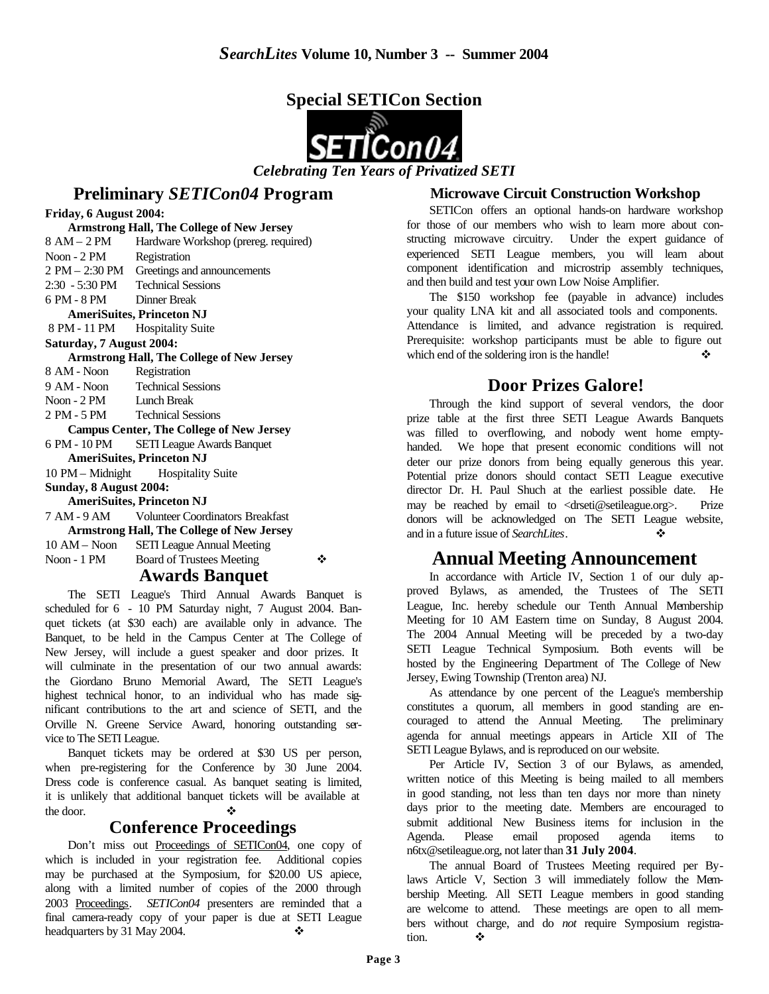



### **Preliminary** *SETICon04* **Program**

**Friday, 6 August 2004:**

**Armstrong Hall, The College of New Jersey** 8 AM – 2 PM Hardware Workshop (prereg. required) Noon - 2 PM Registration 2 PM – 2:30 PM Greetings and announcements 2:30 - 5:30 PM Technical Sessions 6 PM - 8 PM Dinner Break **AmeriSuites, Princeton NJ** 8 PM - 11 PM Hospitality Suite **Saturday, 7 August 2004: Armstrong Hall, The College of New Jersey** 8 AM - Noon Registration 9 AM - Noon Technical Sessions Noon - 2 PM Lunch Break 2 PM - 5 PM Technical Sessions **Campus Center, The College of New Jersey** 6 PM - 10 PM SETI League Awards Banquet **AmeriSuites, Princeton NJ** 10 PM – Midnight Hospitality Suite **Sunday, 8 August 2004: AmeriSuites, Princeton NJ** 7 AM - 9 AM Volunteer Coordinators Breakfast **Armstrong Hall, The College of New Jersey** 10 AM – Noon SETI League Annual Meeting

Noon - 1 PM Board of Trustees Meeting  $\bullet$ 

#### **Awards Banquet**

The SETI League's Third Annual Awards Banquet is scheduled for 6 - 10 PM Saturday night, 7 August 2004. Banquet tickets (at \$30 each) are available only in advance. The Banquet, to be held in the Campus Center at The College of New Jersey, will include a guest speaker and door prizes. It will culminate in the presentation of our two annual awards: the Giordano Bruno Memorial Award, The SETI League's highest technical honor, to an individual who has made significant contributions to the art and science of SETI, and the Orville N. Greene Service Award, honoring outstanding service to The SETI League.

Banquet tickets may be ordered at \$30 US per person, when pre-registering for the Conference by 30 June 2004. Dress code is conference casual. As banquet seating is limited, it is unlikely that additional banquet tickets will be available at the door.  $\bullet$ 

### **Conference Proceedings**

Don't miss out Proceedings of SETICon04, one copy of which is included in your registration fee. Additional copies may be purchased at the Symposium, for \$20.00 US apiece, along with a limited number of copies of the 2000 through 2003 Proceedings. *SETICon04* presenters are reminded that a final camera-ready copy of your paper is due at SETI League headquarters by 31 May 2004.

### **Microwave Circuit Construction Workshop**

SETICon offers an optional hands-on hardware workshop for those of our members who wish to learn more about constructing microwave circuitry. Under the expert guidance of experienced SETI League members, you will learn about component identification and microstrip assembly techniques, and then build and test your own Low Noise Amplifier.

The \$150 workshop fee (payable in advance) includes your quality LNA kit and all associated tools and components. Attendance is limited, and advance registration is required. Prerequisite: workshop participants must be able to figure out which end of the soldering iron is the handle!

## **Door Prizes Galore!**

Through the kind support of several vendors, the door prize table at the first three SETI League Awards Banquets was filled to overflowing, and nobody went home emptyhanded. We hope that present economic conditions will not deter our prize donors from being equally generous this year. Potential prize donors should contact SETI League executive director Dr. H. Paul Shuch at the earliest possible date. He may be reached by email to <drseti@setileague.org>. Prize donors will be acknowledged on The SETI League website, and in a future issue of *SearchLites*. ❖

## **Annual Meeting Announcement**

In accordance with Article IV, Section 1 of our duly approved Bylaws, as amended, the Trustees of The SETI League, Inc. hereby schedule our Tenth Annual Membership Meeting for 10 AM Eastern time on Sunday, 8 August 2004. The 2004 Annual Meeting will be preceded by a two-day SETI League Technical Symposium. Both events will be hosted by the Engineering Department of The College of New Jersey, Ewing Township (Trenton area) NJ.

As attendance by one percent of the League's membership constitutes a quorum, all members in good standing are encouraged to attend the Annual Meeting. The preliminary agenda for annual meetings appears in Article XII of The SETI League Bylaws, and is reproduced on our website.

Per Article IV, Section 3 of our Bylaws, as amended, written notice of this Meeting is being mailed to all members in good standing, not less than ten days nor more than ninety days prior to the meeting date. Members are encouraged to submit additional New Business items for inclusion in the Agenda. Please email proposed agenda items to n6tx@setileague.org, not later than **31 July 2004**.

The annual Board of Trustees Meeting required per Bylaws Article V, Section 3 will immediately follow the Membership Meeting. All SETI League members in good standing are welcome to attend. These meetings are open to all members without charge, and do *not* require Symposium registration.  $\bullet$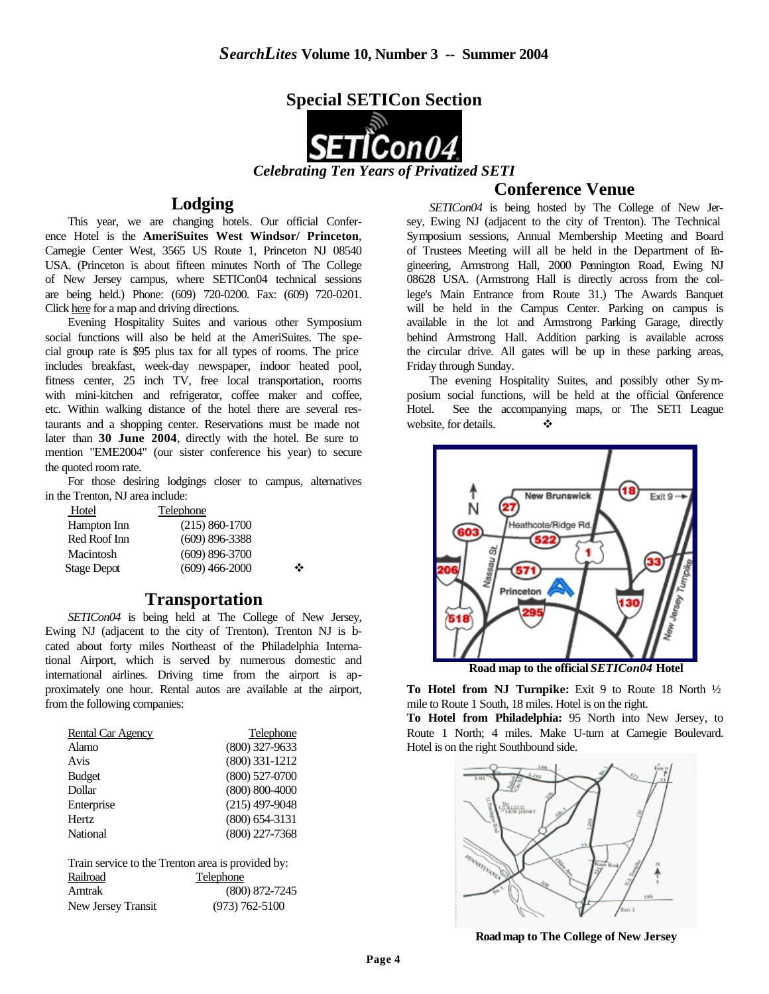

*Celebrating Ten Years of Privatized SETI*

### **Lodging**

This year, we are changing hotels. Our official Conference Hotel is the **AmeriSuites West Windsor/ Princeton**, Carnegie Center West, 3565 US Route 1, Princeton NJ 08540 USA. (Princeton is about fifteen minutes North of The College of New Jersey campus, where SETICon04 technical sessions are being held.) Phone: (609) 720-0200. Fax: (609) 720-0201. Click here for a map and driving directions.

Evening Hospitality Suites and various other Symposium social functions will also be held at the AmeriSuites. The special group rate is \$95 plus tax for all types of rooms. The price includes breakfast, week-day newspaper, indoor heated pool, fitness center, 25 inch TV, free local transportation, rooms with mini-kitchen and refrigerator, coffee maker and coffee, etc. Within walking distance of the hotel there are several restaurants and a shopping center. Reservations must be made not later than **30 June 2004**, directly with the hotel. Be sure to mention "EME2004" (our sister conference his year) to secure the quoted room rate.

For those desiring lodgings closer to campus, alternatives in the Trenton, NJ area include:

| Telephone          |   |
|--------------------|---|
| $(215) 860 - 1700$ |   |
| $(609)$ 896-3388   |   |
| $(609)$ 896-3700   |   |
| $(609)$ 466-2000   | ❖ |
|                    |   |

### **Transportation**

*SETICon04* is being held at The College of New Jersey, Ewing NJ (adjacent to the city of Trenton). Trenton NJ is bcated about forty miles Northeast of the Philadelphia International Airport, which is served by numerous domestic and international airlines. Driving time from the airport is approximately one hour. Rental autos are available at the airport, from the following companies:

| <b>Rental Car Agency</b> | Telephone          |
|--------------------------|--------------------|
| Alamo                    | $(800)$ 327-9633   |
| Avis                     | $(800)$ 331-1212   |
| <b>Budget</b>            | $(800)$ 527-0700   |
| Dollar                   | $(800) 800 - 4000$ |
| Enterprise               | $(215)$ 497-9048   |
| <b>Hertz</b>             | $(800)$ 654-3131   |
| National                 | $(800)$ 227-7368   |

Train service to the Trenton area is provided by: Railroad Telephone Amtrak (800) 872-7245 New Jersey Transit (973) 762-5100

## **Conference Venue**

*SETICon04* is being hosted by The College of New Jersey, Ewing NJ (adjacent to the city of Trenton). The Technical Symposium sessions, Annual Membership Meeting and Board of Trustees Meeting will all be held in the Department of Engineering, Armstrong Hall, 2000 Pennington Road, Ewing NJ 08628 USA. (Armstrong Hall is directly across from the college's Main Entrance from Route 31.) The Awards Banquet will be held in the Campus Center. Parking on campus is available in the lot and Armstrong Parking Garage, directly behind Armstrong Hall. Addition parking is available across the circular drive. All gates will be up in these parking areas, Friday through Sunday.

The evening Hospitality Suites, and possibly other Symposium social functions, will be held at the official Conference Hotel. See the accompanying maps, or The SETI League website, for details.  $\bullet$ 



**Road map to the official** *SETICon04* **Hotel** 

**To Hotel from NJ Turnpike:** Exit 9 to Route 18 North ½ mile to Route 1 South, 18 miles. Hotel is on the right.

**To Hotel from Philadelphia:** 95 North into New Jersey, to Route 1 North; 4 miles. Make U-turn at Carnegie Boulevard. Hotel is on the right Southbound side.



**Road map to The College of New Jersey**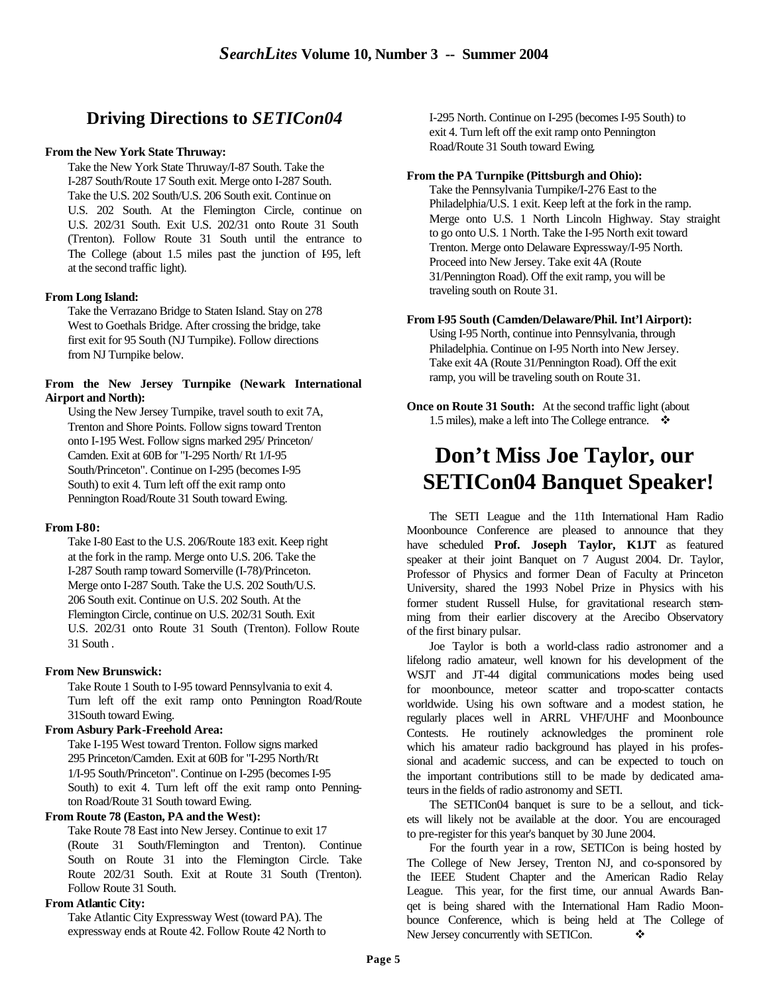## **Driving Directions to** *SETICon04*

#### **From the New York State Thruway:**

Take the New York State Thruway/I-87 South. Take the I-287 South/Route 17 South exit. Merge onto I-287 South. Take the U.S. 202 South/U.S. 206 South exit. Continue on U.S. 202 South. At the Flemington Circle, continue on U.S. 202/31 South. Exit U.S. 202/31 onto Route 31 South (Trenton). Follow Route 31 South until the entrance to The College (about 1.5 miles past the junction of 195, left at the second traffic light).

#### **From Long Island:**

Take the Verrazano Bridge to Staten Island. Stay on 278 West to Goethals Bridge. After crossing the bridge, take first exit for 95 South (NJ Turnpike). Follow directions from NJ Turnpike below.

#### **From the New Jersey Turnpike (Newark International Airport and North):**

Using the New Jersey Turnpike, travel south to exit 7A, Trenton and Shore Points. Follow signs toward Trenton onto I-195 West. Follow signs marked 295/ Princeton/ Camden. Exit at 60B for "I-295 North/ Rt 1/I-95 South/Princeton". Continue on I-295 (becomes I-95 South) to exit 4. Turn left off the exit ramp onto Pennington Road/Route 31 South toward Ewing.

#### **From I-80:**

Take I-80 East to the U.S. 206/Route 183 exit. Keep right at the fork in the ramp. Merge onto U.S. 206. Take the I-287 South ramp toward Somerville (I-78)/Princeton. Merge onto I-287 South. Take the U.S. 202 South/U.S. 206 South exit. Continue on U.S. 202 South. At the Flemington Circle, continue on U.S. 202/31 South. Exit U.S. 202/31 onto Route 31 South (Trenton). Follow Route 31 South .

#### **From New Brunswick:**

Take Route 1 South to I-95 toward Pennsylvania to exit 4. Turn left off the exit ramp onto Pennington Road/Route 31South toward Ewing.

#### **From Asbury Park-Freehold Area:**

Take I-195 West toward Trenton. Follow signs marked 295 Princeton/Camden. Exit at 60B for "I-295 North/Rt 1/I-95 South/Princeton". Continue on I-295 (becomes I-95 South) to exit 4. Turn left off the exit ramp onto Pennington Road/Route 31 South toward Ewing.

#### **From Route 78 (Easton, PA and the West):**

Take Route 78 East into New Jersey. Continue to exit 17 (Route 31 South/Flemington and Trenton). Continue South on Route 31 into the Flemington Circle. Take Route 202/31 South. Exit at Route 31 South (Trenton). Follow Route 31 South.

#### **From Atlantic City:**

Take Atlantic City Expressway West (toward PA). The expressway ends at Route 42. Follow Route 42 North to I-295 North. Continue on I-295 (becomes I-95 South) to exit 4. Turn left off the exit ramp onto Pennington Road/Route 31 South toward Ewing.

#### **From the PA Turnpike (Pittsburgh and Ohio):**

Take the Pennsylvania Turnpike/I-276 East to the Philadelphia/U.S. 1 exit. Keep left at the fork in the ramp. Merge onto U.S. 1 North Lincoln Highway. Stay straight to go onto U.S. 1 North. Take the I-95 North exit toward Trenton. Merge onto Delaware Expressway/I-95 North. Proceed into New Jersey. Take exit 4A (Route 31/Pennington Road). Off the exit ramp, you will be traveling south on Route 31.

#### **From I-95 South (Camden/Delaware/Phil. Int'l Airport):**

Using I-95 North, continue into Pennsylvania, through Philadelphia. Continue on I-95 North into New Jersey. Take exit 4A (Route 31/Pennington Road). Off the exit ramp, you will be traveling south on Route 31.

**Once on Route 31 South:** At the second traffic light (about 1.5 miles), make a left into The College entrance.  $\cdot$ 

# **Don't Miss Joe Taylor, our SETICon04 Banquet Speaker!**

The SETI League and the 11th International Ham Radio Moonbounce Conference are pleased to announce that they have scheduled **Prof. Joseph Taylor, K1JT** as featured speaker at their joint Banquet on 7 August 2004. Dr. Taylor, Professor of Physics and former Dean of Faculty at Princeton University, shared the 1993 Nobel Prize in Physics with his former student Russell Hulse, for gravitational research stemming from their earlier discovery at the Arecibo Observatory of the first binary pulsar.

Joe Taylor is both a world-class radio astronomer and a lifelong radio amateur, well known for his development of the WSJT and JT-44 digital communications modes being used for moonbounce, meteor scatter and tropo-scatter contacts worldwide. Using his own software and a modest station, he regularly places well in ARRL VHF/UHF and Moonbounce Contests. He routinely acknowledges the prominent role which his amateur radio background has played in his professional and academic success, and can be expected to touch on the important contributions still to be made by dedicated amateurs in the fields of radio astronomy and SETI.

The SETICon04 banquet is sure to be a sellout, and tickets will likely not be available at the door. You are encouraged to pre-register for this year's banquet by 30 June 2004.

For the fourth year in a row, SETICon is being hosted by The College of New Jersey, Trenton NJ, and co-sponsored by the IEEE Student Chapter and the American Radio Relay League. This year, for the first time, our annual Awards Banqet is being shared with the International Ham Radio Moonbounce Conference, which is being held at The College of New Jersey concurrently with SETICon.  $\bullet$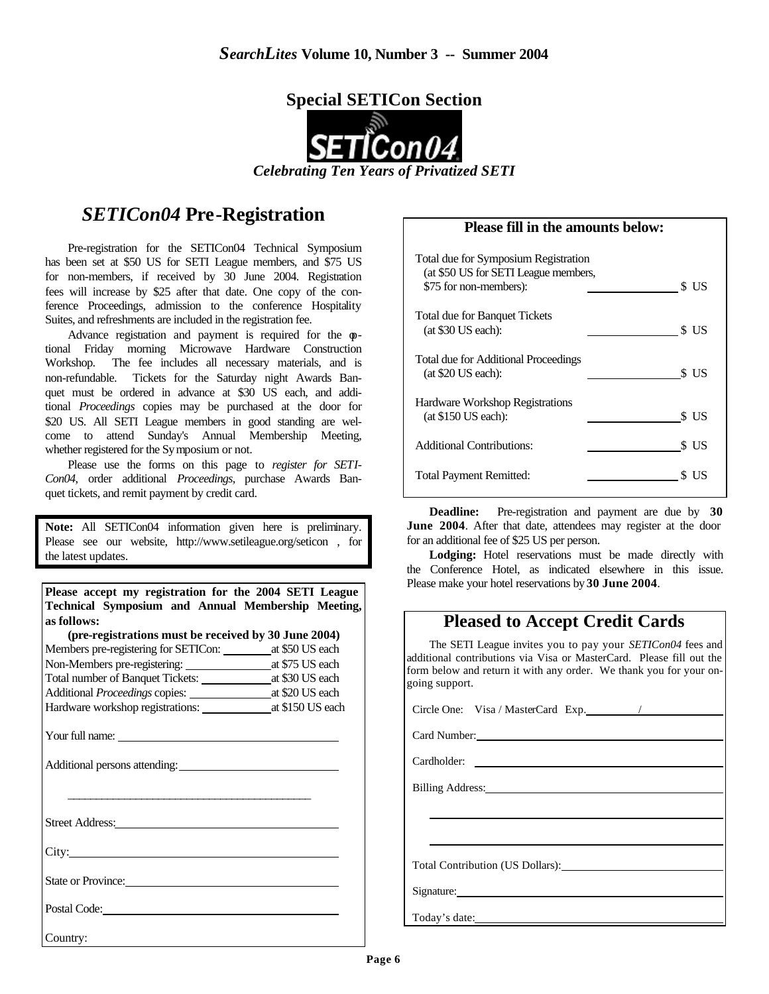

## *SETICon04* **Pre-Registration**

Pre-registration for the SETICon04 Technical Symposium has been set at \$50 US for SETI League members, and \$75 US for non-members, if received by 30 June 2004. Registration fees will increase by \$25 after that date. One copy of the conference Proceedings, admission to the conference Hospitality Suites, and refreshments are included in the registration fee.

Advance registration and payment is required for the  $\varphi$ tional Friday morning Microwave Hardware Construction Workshop. The fee includes all necessary materials, and is non-refundable. Tickets for the Saturday night Awards Banquet must be ordered in advance at \$30 US each, and additional *Proceedings* copies may be purchased at the door for \$20 US. All SETI League members in good standing are welcome to attend Sunday's Annual Membership Meeting, whether registered for the Symposium or not.

Please use the forms on this page to *register for SETI-Con04*, order additional *Proceedings*, purchase Awards Banquet tickets, and remit payment by credit card.

**Note:** All SETICon04 information given here is preliminary. Please see our website, http://www.setileague.org/seticon , for the latest updates.

**Please accept my registration for the 2004 SETI League Technical Symposium and Annual Membership Meeting, as follows:**

| as ionows.                                           |                 |
|------------------------------------------------------|-----------------|
| (pre-registrations must be received by 30 June 2004) |                 |
|                                                      |                 |
| Non-Members pre-registering:                         | at \$75 US each |
| Total number of Banquet Tickets:                     | at \$30 US each |
|                                                      |                 |
|                                                      |                 |
| Your full name:<br>Additional persons attending:     |                 |
|                                                      |                 |
|                                                      |                 |
| $C_{\text{tmod}}$ $\Lambda$ domain                   |                 |

Street Address:

City:

State or Province:

Postal Code:

Country:

#### **Please fill in the amounts below:**

| Total due for Symposium Registration<br>(at \$50 US for SETI League members, |      |
|------------------------------------------------------------------------------|------|
| \$75 for non-members):                                                       | S US |
| <b>Total due for Banquet Tickets</b><br>$(at $30$ US each):                  | S US |
| Total due for Additional Proceedings<br>(at \$20 US each):                   | S US |
| Hardware Workshop Registrations<br>$(at $150$ US each):                      | s us |
| <b>Additional Contributions:</b>                                             | S US |
| <b>Total Payment Remitted:</b>                                               | -US  |

**Deadline:** Pre-registration and payment are due by **30 June 2004**. After that date, attendees may register at the door for an additional fee of \$25 US per person.

Lodging: Hotel reservations must be made directly with the Conference Hotel, as indicated elsewhere in this issue. Please make your hotel reservations by **30 June 2004**.

## **Pleased to Accept Credit Cards**

 The SETI League invites you to pay your *SETICon04* fees and additional contributions via Visa or MasterCard. Please fill out the form below and return it with any order. We thank you for your ongoing support.

Circle One: Visa / MasterCard Exp. /

Card Number:

Cardholder:

Billing Address:

Total Contribution (US Dollars):

Signature:

Today's date: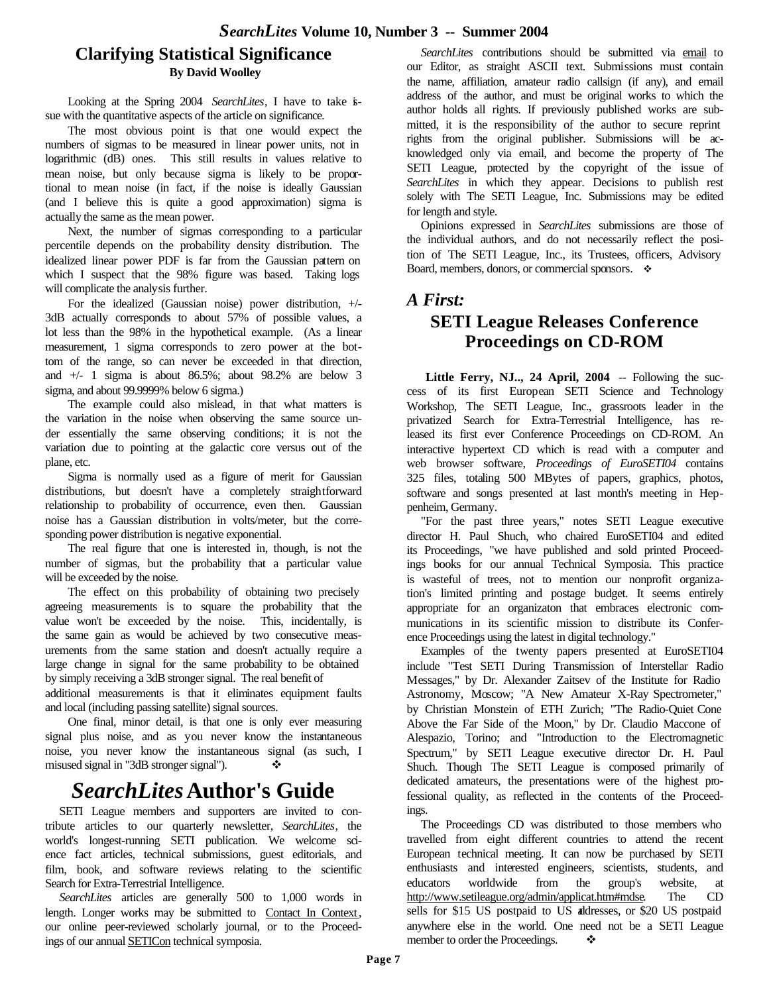## **Clarifying Statistical Significance By David Woolley**

Looking at the Spring 2004 *SearchLites*, I have to take issue with the quantitative aspects of the article on significance.

The most obvious point is that one would expect the numbers of sigmas to be measured in linear power units, not in logarithmic (dB) ones. This still results in values relative to mean noise, but only because sigma is likely to be proportional to mean noise (in fact, if the noise is ideally Gaussian (and I believe this is quite a good approximation) sigma is actually the same as the mean power.

Next, the number of sigmas corresponding to a particular percentile depends on the probability density distribution. The idealized linear power PDF is far from the Gaussian pattern on which I suspect that the 98% figure was based. Taking logs will complicate the analysis further.

For the idealized (Gaussian noise) power distribution, +/- 3dB actually corresponds to about 57% of possible values, a lot less than the 98% in the hypothetical example. (As a linear measurement, 1 sigma corresponds to zero power at the bottom of the range, so can never be exceeded in that direction, and  $+/-$  1 sigma is about 86.5%; about 98.2% are below 3 sigma, and about 99.9999% below 6 sigma.)

The example could also mislead, in that what matters is the variation in the noise when observing the same source under essentially the same observing conditions; it is not the variation due to pointing at the galactic core versus out of the plane, etc.

Sigma is normally used as a figure of merit for Gaussian distributions, but doesn't have a completely straightforward relationship to probability of occurrence, even then. Gaussian noise has a Gaussian distribution in volts/meter, but the corresponding power distribution is negative exponential.

The real figure that one is interested in, though, is not the number of sigmas, but the probability that a particular value will be exceeded by the noise.

The effect on this probability of obtaining two precisely agreeing measurements is to square the probability that the value won't be exceeded by the noise. This, incidentally, is the same gain as would be achieved by two consecutive measurements from the same station and doesn't actually require a large change in signal for the same probability to be obtained by simply receiving a 3dB stronger signal. The real benefit of

additional measurements is that it eliminates equipment faults and local (including passing satellite) signal sources.

One final, minor detail, is that one is only ever measuring signal plus noise, and as you never know the instantaneous noise, you never know the instantaneous signal (as such, I misused signal in "3dB stronger signal").  $\bullet$ 

## *SearchLites***Author's Guide**

 SETI League members and supporters are invited to contribute articles to our quarterly newsletter, *SearchLites*, the world's longest-running SETI publication. We welcome science fact articles, technical submissions, guest editorials, and film, book, and software reviews relating to the scientific Search for Extra-Terrestrial Intelligence.

 *SearchLites* articles are generally 500 to 1,000 words in length. Longer works may be submitted to Contact In Context, our online peer-reviewed scholarly journal, or to the Proceedings of our annual SETICon technical symposia.

 *SearchLites* contributions should be submitted via email to our Editor, as straight ASCII text. Submissions must contain the name, affiliation, amateur radio callsign (if any), and email address of the author, and must be original works to which the author holds all rights. If previously published works are submitted, it is the responsibility of the author to secure reprint rights from the original publisher. Submissions will be acknowledged only via email, and become the property of The SETI League, protected by the copyright of the issue of *SearchLites* in which they appear. Decisions to publish rest solely with The SETI League, Inc. Submissions may be edited for length and style.

 Opinions expressed in *SearchLites* submissions are those of the individual authors, and do not necessarily reflect the position of The SETI League, Inc., its Trustees, officers, Advisory Board, members, donors, or commercial sponsors.  $\cdot$ 

### *A First:*

## **SETI League Releases Conference Proceedings on CD-ROM**

Little Ferry, NJ.., 24 April, 2004 -- Following the success of its first European SETI Science and Technology Workshop, The SETI League, Inc., grassroots leader in the privatized Search for Extra-Terrestrial Intelligence, has released its first ever Conference Proceedings on CD-ROM. An interactive hypertext CD which is read with a computer and web browser software, *Proceedings of EuroSETI04* contains 325 files, totaling 500 MBytes of papers, graphics, photos, software and songs presented at last month's meeting in Heppenheim, Germany.

 "For the past three years," notes SETI League executive director H. Paul Shuch, who chaired EuroSETI04 and edited its Proceedings, "we have published and sold printed Proceedings books for our annual Technical Symposia. This practice is wasteful of trees, not to mention our nonprofit organization's limited printing and postage budget. It seems entirely appropriate for an organizaton that embraces electronic communications in its scientific mission to distribute its Conference Proceedings using the latest in digital technology."

 Examples of the twenty papers presented at EuroSETI04 include "Test SETI During Transmission of Interstellar Radio Messages," by Dr. Alexander Zaitsev of the Institute for Radio Astronomy, Moscow; "A New Amateur X-Ray Spectrometer," by Christian Monstein of ETH Zurich; "The Radio-Quiet Cone Above the Far Side of the Moon," by Dr. Claudio Maccone of Alespazio, Torino; and "Introduction to the Electromagnetic Spectrum," by SETI League executive director Dr. H. Paul Shuch. Though The SETI League is composed primarily of dedicated amateurs, the presentations were of the highest professional quality, as reflected in the contents of the Proceedings.

 The Proceedings CD was distributed to those members who travelled from eight different countries to attend the recent European technical meeting. It can now be purchased by SETI enthusiasts and interested engineers, scientists, students, and educators worldwide from the group's website, at http://www.setileague.org/admin/applicat.htm#mdse. The CD sells for \$15 US postpaid to US addresses, or \$20 US postpaid anywhere else in the world. One need not be a SETI League member to order the Proceedings.  $\bullet$